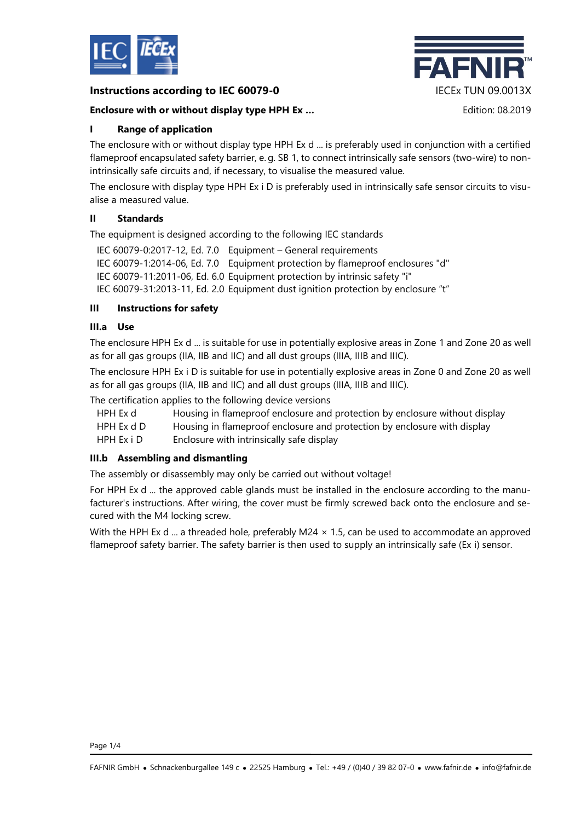

## **Instructions according to IEC 60079-0** IECEx TUN 09.0013X

## **Enclosure with or without display type HPH Ex …** Edition: 08.2019



# **I Range of application**

The enclosure with or without display type HPH Ex d ... is preferably used in conjunction with a certified flameproof encapsulated safety barrier, e. g. SB 1, to connect intrinsically safe sensors (two-wire) to nonintrinsically safe circuits and, if necessary, to visualise the measured value.

The enclosure with display type HPH Ex i D is preferably used in intrinsically safe sensor circuits to visualise a measured value.

## **II Standards**

The equipment is designed according to the following IEC standards

- IEC 60079-0:2017-12, Ed. 7.0 Equipment General requirements
- IEC 60079-1:2014-06, Ed. 7.0 Equipment protection by flameproof enclosures "d"

IEC 60079-11:2011-06, Ed. 6.0 Equipment protection by intrinsic safety "i"

IEC 60079-31:2013-11, Ed. 2.0 Equipment dust ignition protection by enclosure "t"

## **III Instructions for safety**

### **III.a Use**

The enclosure HPH Ex d ... is suitable for use in potentially explosive areas in Zone 1 and Zone 20 as well as for all gas groups (IIA, IIB and IIC) and all dust groups (IIIA, IIIB and IIIC).

The enclosure HPH Ex i D is suitable for use in potentially explosive areas in Zone 0 and Zone 20 as well as for all gas groups (IIA, IIB and IIC) and all dust groups (IIIA, IIIB and IIIC).

The certification applies to the following device versions

- HPH Ex d Housing in flameproof enclosure and protection by enclosure without display
- HPH Ex d D Housing in flameproof enclosure and protection by enclosure with display

HPH Ex i D Enclosure with intrinsically safe display

## **III.b Assembling and dismantling**

The assembly or disassembly may only be carried out without voltage!

For HPH Ex d ... the approved cable glands must be installed in the enclosure according to the manufacturer's instructions. After wiring, the cover must be firmly screwed back onto the enclosure and secured with the M4 locking screw.

With the HPH Ex d ... a threaded hole, preferably M24  $\times$  1.5, can be used to accommodate an approved flameproof safety barrier. The safety barrier is then used to supply an intrinsically safe (Ex i) sensor.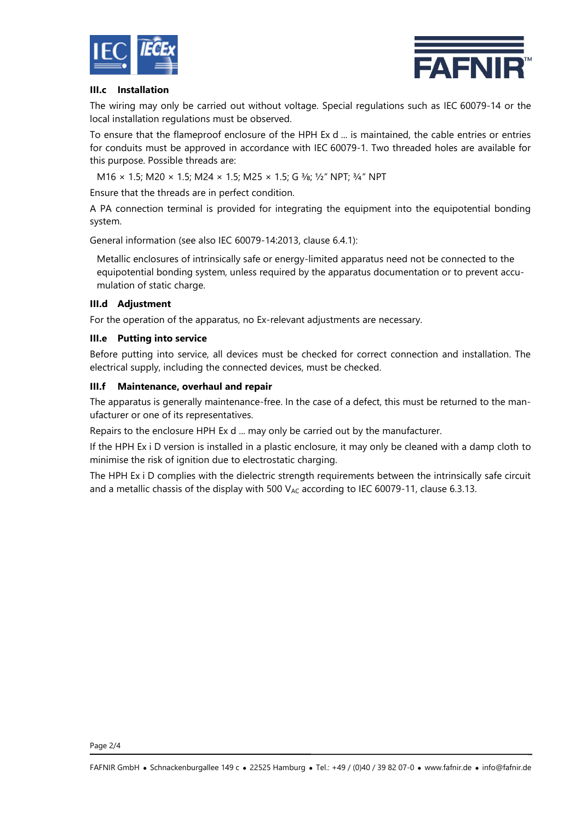



### **III.c Installation**

The wiring may only be carried out without voltage. Special regulations such as IEC 60079-14 or the local installation regulations must be observed.

To ensure that the flameproof enclosure of the HPH Ex d ... is maintained, the cable entries or entries for conduits must be approved in accordance with IEC 60079-1. Two threaded holes are available for this purpose. Possible threads are:

M16 × 1.5; M20 × 1.5; M24 × 1.5; M25 × 1.5; G 3/8; 1/2" NPT; 3/4" NPT

Ensure that the threads are in perfect condition.

A PA connection terminal is provided for integrating the equipment into the equipotential bonding system.

General information (see also IEC 60079-14:2013, clause 6.4.1):

Metallic enclosures of intrinsically safe or energy-limited apparatus need not be connected to the equipotential bonding system, unless required by the apparatus documentation or to prevent accumulation of static charge.

### **III.d Adjustment**

For the operation of the apparatus, no Ex-relevant adjustments are necessary.

### **III.e Putting into service**

Before putting into service, all devices must be checked for correct connection and installation. The electrical supply, including the connected devices, must be checked.

#### **III.f Maintenance, overhaul and repair**

The apparatus is generally maintenance-free. In the case of a defect, this must be returned to the manufacturer or one of its representatives.

Repairs to the enclosure HPH Ex d ... may only be carried out by the manufacturer.

If the HPH Ex i D version is installed in a plastic enclosure, it may only be cleaned with a damp cloth to minimise the risk of ignition due to electrostatic charging.

The HPH Ex i D complies with the dielectric strength requirements between the intrinsically safe circuit and a metallic chassis of the display with 500  $V_{AC}$  according to IEC 60079-11, clause 6.3.13.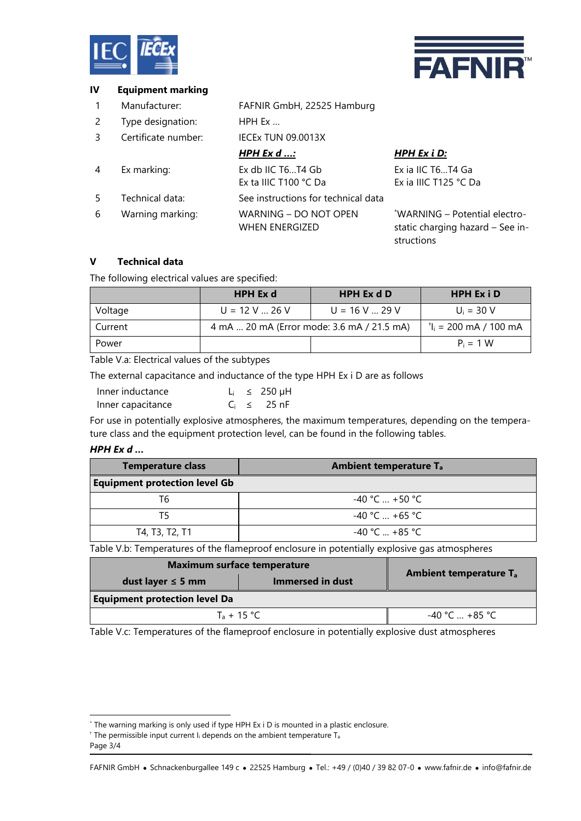



### **IV Equipment marking**

- 1 Manufacturer: FAFNIR GmbH, 22525 Hamburg
- 2 Type designation: HPH Ex …
- 3 Certificate number: IECEx TUN 09.0013X

|   |                  | <u>HPH Ex d :</u>                              | <u>HPH Ex i D:</u>                                                              |
|---|------------------|------------------------------------------------|---------------------------------------------------------------------------------|
| 4 | Ex marking:      | Ex db IIC T6T4 Gb                              | Ex ia IIC T6T4 Ga                                                               |
|   |                  | Ex ta IIIC T100 °C Da                          | Ex ia IIIC T125 °C Da                                                           |
| 5 | Technical data:  | See instructions for technical data            |                                                                                 |
| 6 | Warning marking: | WARNING - DO NOT OPEN<br><b>WHEN ENERGIZED</b> | *WARNING - Potential electro-<br>static charging hazard - See in-<br>structions |

# **V Technical data**

The following electrical values are specified:

|         | <b>HPH Ex d</b>                            | HPH Ex d D              | <b>HPH Ex i D</b>       |
|---------|--------------------------------------------|-------------------------|-------------------------|
| Voltage | $U = 12 V$ 26 V                            | $U = 16 V_{\dots} 29 V$ | $U_i = 30 V$            |
| Current | 4 mA  20 mA (Error mode: 3.6 mA / 21.5 mA) |                         | $t_i = 200$ mA / 100 mA |
| Power   |                                            |                         | $P_i = 1 W$             |

Table V.a: Electrical values of the subtypes

The external capacitance and inductance of the type HPH Ex i D are as follows

| Inner inductance  |  | $L_i \leq 250 \mu H$ |
|-------------------|--|----------------------|
| Inner capacitance |  | $C_i \leq 25$ nF     |

For use in potentially explosive atmospheres, the maximum temperatures, depending on the temperature class and the equipment protection level, can be found in the following tables.

#### *HPH Ex d …*

| <b>Temperature class</b>             | <b>Ambient temperature T<sub>a</sub></b> |  |
|--------------------------------------|------------------------------------------|--|
| <b>Equipment protection level Gb</b> |                                          |  |
| Т6                                   | $-40$ °C $$ +50 °C $-$                   |  |
| T5                                   | $-40$ °C $+65$ °C                        |  |
| T4, T3, T2, T1                       | $-40 °C + 85 °C$                         |  |

Table V.b: Temperatures of the flameproof enclosure in potentially explosive gas atmospheres

| <b>Maximum surface temperature</b>   |                  |                                          |  |
|--------------------------------------|------------------|------------------------------------------|--|
| dust layer $\leq$ 5 mm               | Immersed in dust | <b>Ambient temperature T<sub>a</sub></b> |  |
| <b>Equipment protection level Da</b> |                  |                                          |  |
| $T_a + 15 °C$                        |                  | $-40 °C + 85 °C$                         |  |

Table V.c: Temperatures of the flameproof enclosure in potentially explosive dust atmospheres

l

<sup>\*</sup> The warning marking is only used if type HPH Ex i D is mounted in a plastic enclosure.

 $+$  The permissible input current I<sub>i</sub> depends on the ambient temperature T<sub>a</sub>

Page 3/4